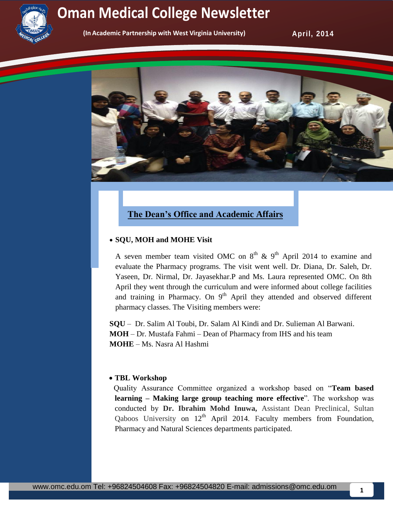

## **Newsletter Oman Medical College Newsletter Service College Oman Medical College Newsletter**

**(In Academic Partnership with West Virginia University)** 

**April, 2014** 



### **The Dean's Office and Academic Affairs**

#### **SQU, MOH and MOHE Visit**

A seven member team visited OMC on  $8<sup>th</sup>$  &  $9<sup>th</sup>$  April 2014 to examine and evaluate the Pharmacy programs. The visit went well. Dr. Diana, Dr. Saleh, Dr. Yaseen, Dr. Nirmal, Dr. Jayasekhar.P and Ms. Laura represented OMC. On 8th April they went through the curriculum and were informed about college facilities and training in Pharmacy. On  $9<sup>th</sup>$  April they attended and observed different pharmacy classes. The Visiting members were:

**SQU** – Dr. Salim Al Toubi, Dr. Salam Al Kindi and Dr. Sulieman Al Barwani. **MOH** – Dr. Mustafa Fahmi – Dean of Pharmacy from IHS and his team **MOHE** – Ms. Nasra Al Hashmi

#### **TBL Workshop**

Quality Assurance Committee organized a workshop based on "**Team based learning – Making large group teaching more effective**". The workshop was conducted by **Dr. Ibrahim Mohd Inuwa,** Assistant Dean Preclinical, Sultan Qaboos University on  $12<sup>th</sup>$  April 2014. Faculty members from Foundation, Pharmacy and Natural Sciences departments participated.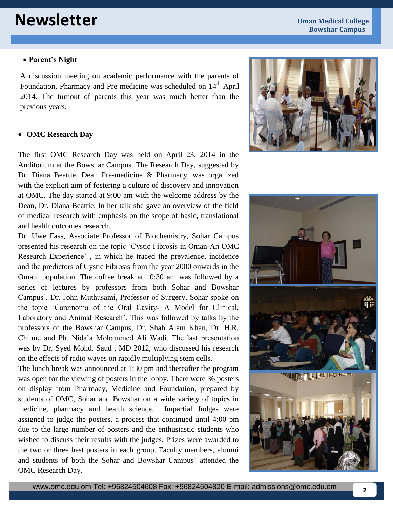# **Newsletter Oman Medical College**

#### **Parent's Night**

A discussion meeting on academic performance with the parents of Foundation, Pharmacy and Pre medicine was scheduled on 14<sup>th</sup> April 2014. The turnout of parents this year was much better than the previous years.

#### **OMC Research Day**

The first OMC Research Day was held on April 23, 2014 in the Auditorium at the Bowshar Campus. The Research Day, suggested by Dr. Diana Beattie, Dean Pre-medicine & Pharmacy, was organized with the explicit aim of fostering a culture of discovery and innovation at OMC. The day started at 9:00 am with the welcome address by the Dean, Dr. Diana Beattie. In her talk she gave an overview of the field of medical research with emphasis on the scope of basic, translational and health outcomes research.

Dr. Uwe Fass, Associate Professor of Biochemistry, Sohar Campus presented his research on the topic 'Cystic Fibrosis in Oman-An OMC Research Experience' , in which he traced the prevalence, incidence and the predictors of Cystic Fibrosis from the year 2000 onwards in the Omani population. The coffee break at 10:30 am was followed by a series of lectures by professors from both Sohar and Bowshar Campus'. Dr. John Muthusami, Professor of Surgery, Sohar spoke on the topic 'Carcinoma of the Oral Cavity- A Model for Clinical, Laboratory and Animal Research'. This was followed by talks by the professors of the Bowshar Campus, Dr. Shah Alam Khan, Dr. H.R. Chitme and Ph. Nida'a Mohammed Ali Wadi. The last presentation was by Dr. Syed Mohd. Saud , MD 2012, who discussed his research on the effects of radio waves on rapidly multiplying stem cells.

The lunch break was announced at 1:30 pm and thereafter the program was open for the viewing of posters in the lobby. There were 36 posters on display from Pharmacy, Medicine and Foundation, prepared by students of OMC, Sohar and Bowshar on a wide variety of topics in medicine, pharmacy and health science. Impartial Judges were assigned to judge the posters, a process that continued until 4:00 pm due to the large number of posters and the enthusiastic students who wished to discuss their results with the judges. Prizes were awarded to the two or three best posters in each group. Faculty members, alumni and students of both the Sohar and Bowshar Campus' attended the OMC Research Day.



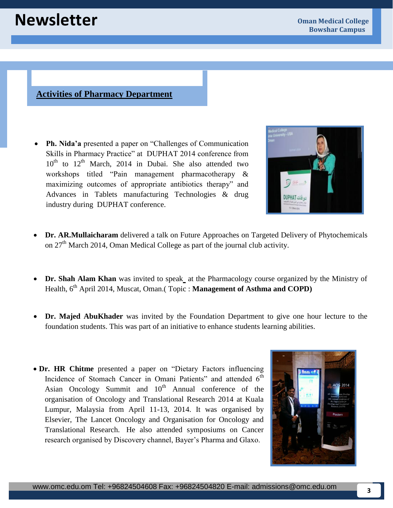#### **Activities of Pharmacy Department**

 **Ph. Nida'a** presented a paper on "Challenges of Communication Skills in Pharmacy Practice" at DUPHAT 2014 conference from  $10<sup>th</sup>$  to  $12<sup>th</sup>$  March, 2014 in Dubai. She also attended two workshops titled "Pain management pharmacotherapy & maximizing outcomes of appropriate antibiotics therapy" and Advances in Tablets manufacturing Technologies & drug industry during DUPHAT conference.



- **Dr. AR.Mullaicharam** delivered a talk on Future Approaches on Targeted Delivery of Phytochemicals on  $27<sup>th</sup>$  March 2014, Oman Medical College as part of the journal club activity.
- **Dr. Shah Alam Khan** was invited to speak at the Pharmacology course organized by the Ministry of Health, 6<sup>th</sup> April 2014, Muscat, Oman.(Topic: **Management of Asthma and COPD**)
- **Dr. Majed AbuKhader** was invited by the Foundation Department to give one hour lecture to the foundation students. This was part of an initiative to enhance students learning abilities.
- **Dr. HR Chitme** presented a paper on "Dietary Factors influencing Incidence of Stomach Cancer in Omani Patients" and attended 6<sup>th</sup> Asian Oncology Summit and  $10<sup>th</sup>$  Annual conference of the organisation of Oncology and Translational Research 2014 at Kuala Lumpur, Malaysia from April 11-13, 2014. It was organised by Elsevier, The Lancet Oncology and Organisation for Oncology and Translational Research. He also attended symposiums on Cancer research organised by Discovery channel, Bayer's Pharma and Glaxo.

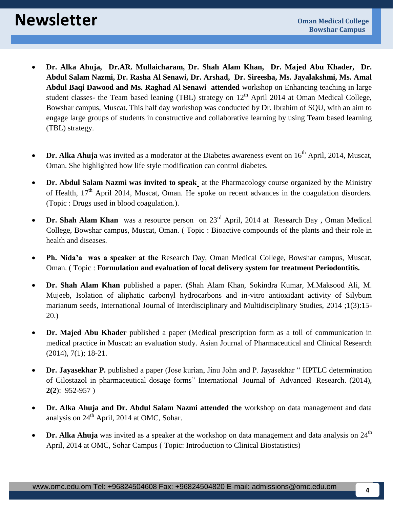- **Dr. Alka Ahuja, Dr.AR. Mullaicharam, Dr. Shah Alam Khan, Dr. Majed Abu Khader, Dr. Abdul Salam Nazmi, Dr. Rasha Al Senawi, Dr. Arshad, Dr. Sireesha, Ms. Jayalakshmi, Ms. Amal Abdul Baqi Dawood and Ms. Raghad Al Senawi attended** workshop on Enhancing teaching in large student classes- the Team based leaning (TBL) strategy on  $12<sup>th</sup>$  April 2014 at Oman Medical College, Bowshar campus, Muscat. This half day workshop was conducted by Dr. Ibrahim of SQU, with an aim to engage large groups of students in constructive and collaborative learning by using Team based learning (TBL) strategy.
- Dr. Alka Ahuja was invited as a moderator at the Diabetes awareness event on 16<sup>th</sup> April, 2014, Muscat, Oman. She highlighted how life style modification can control diabetes.
- **Dr. Abdul Salam Nazmi was invited to speak** at the Pharmacology course organized by the Ministry of Health, 17<sup>th</sup> April 2014, Muscat, Oman. He spoke on recent advances in the coagulation disorders. (Topic : Drugs used in blood coagulation.).
- **Dr. Shah Alam Khan** was a resource person on 23<sup>rd</sup> April, 2014 at Research Day, Oman Medical College, Bowshar campus, Muscat, Oman. ( Topic : Bioactive compounds of the plants and their role in health and diseases.
- **Ph. Nida'a was a speaker at the** Research Day, Oman Medical College, Bowshar campus, Muscat, Oman. ( Topic : **Formulation and evaluation of local delivery system for treatment Periodontitis.**
- **Dr. Shah Alam Khan** published a paper. **(**Shah Alam Khan, Sokindra Kumar, M.Maksood Ali, M. Mujeeb, Isolation of aliphatic carbonyl hydrocarbons and in-vitro antioxidant activity of Silybum marianum seeds, International Journal of Interdisciplinary and Multidisciplinary Studies, 2014 ;1(3):15- 20.)
- **Dr. Majed Abu Khader** published a paper (Medical prescription form as a toll of communication in medical practice in Muscat: an evaluation study. Asian Journal of Pharmaceutical and Clinical Research (2014), 7(1); 18-21.
- **Dr. Jayasekhar P.** published a paper (Jose kurian, Jinu John and P. Jayasekhar " HPTLC determination of Cilostazol in pharmaceutical dosage forms" International Journal of Advanced Research. (2014), **2(2**): 952-957 )
- **Dr. Alka Ahuja and Dr. Abdul Salam Nazmi attended the** workshop on data management and data analysis on  $24<sup>th</sup>$  April, 2014 at OMC, Sohar.
- **Dr. Alka Ahuja** was invited as a speaker at the workshop on data management and data analysis on 24<sup>th</sup> April, 2014 at OMC, Sohar Campus ( Topic: Introduction to Clinical Biostatistics)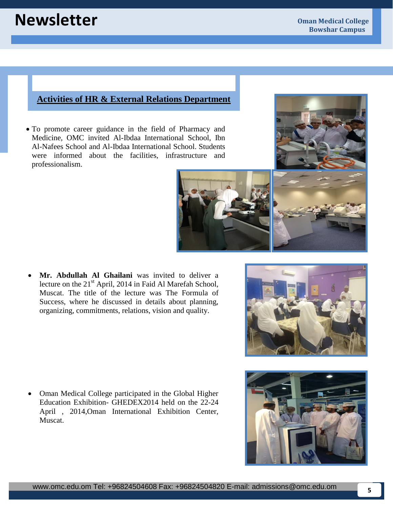### **Activities of HR & External Relations Department**

 To promote career guidance in the field of Pharmacy and Medicine, OMC invited Al-Ibdaa International School, Ibn Al-Nafees School and Al-Ibdaa International School. Students were informed about the facilities, infrastructure and professionalism.

 **Mr. Abdullah Al Ghailani** was invited to deliver a lecture on the 21<sup>st</sup> April, 2014 in Faid Al Marefah School, Muscat. The title of the lecture was The Formula of Success, where he discussed in details about planning, organizing, commitments, relations, vision and quality.

• Oman Medical College participated in the Global Higher Education Exhibition- GHEDEX2014 held on the 22-24 April , 2014,Oman International Exhibition Center, Muscat.

**5**





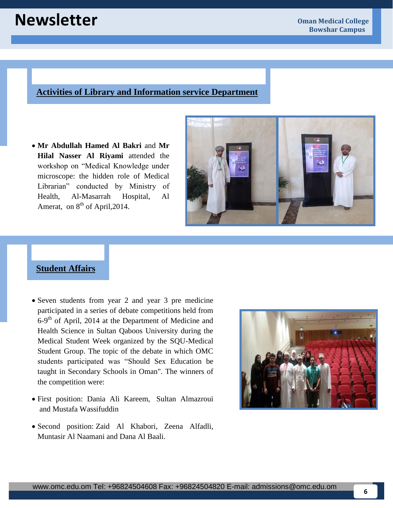# **Newsletter Oman Medical College**

#### **Activities of Library and Information service Department**

 **Mr Abdullah Hamed Al Bakri** and **Mr Hilal Nasser Al Riyami** attended the workshop on "Medical Knowledge under microscope: the hidden role of Medical Librarian" conducted by Ministry of Health, Al-Masarrah Hospital, Al Amerat, on  $8<sup>th</sup>$  of April, 2014.



### **Student Affairs**

- Seven students from year 2 and year 3 pre medicine participated in a series of debate competitions held from 6-9<sup>th</sup> of April, 2014 at the Department of Medicine and Health Science in Sultan Qaboos University during the Medical Student Week organized by the SQU-Medical Student Group. The topic of the debate in which OMC students participated was "Should Sex Education be taught in Secondary Schools in Oman". The winners of the competition were:
- First position: Dania Ali Kareem, Sultan Almazroui and Mustafa Wassifuddin
- Second position: Zaid Al Khabori, Zeena Alfadli, Muntasir Al Naamani and Dana Al Baali.